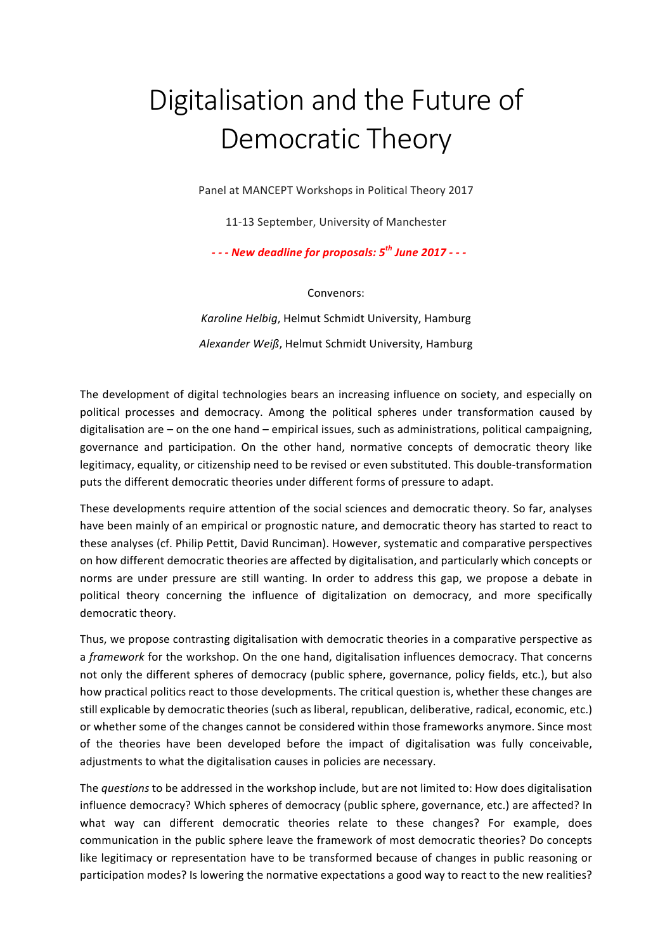## Digitalisation and the Future of Democratic Theory

Panel at MANCEPT Workshops in Political Theory 2017

11-13 September, University of Manchester

*- - - New deadline for proposals: 5th June 2017 - - -*

Convenors:

Karoline Helbig, Helmut Schmidt University, Hamburg Alexander Weiß, Helmut Schmidt University, Hamburg

The development of digital technologies bears an increasing influence on society, and especially on political processes and democracy. Among the political spheres under transformation caused by digitalisation are  $-$  on the one hand  $-$  empirical issues, such as administrations, political campaigning, governance and participation. On the other hand, normative concepts of democratic theory like legitimacy, equality, or citizenship need to be revised or even substituted. This double-transformation puts the different democratic theories under different forms of pressure to adapt.

These developments require attention of the social sciences and democratic theory. So far, analyses have been mainly of an empirical or prognostic nature, and democratic theory has started to react to these analyses (cf. Philip Pettit, David Runciman). However, systematic and comparative perspectives on how different democratic theories are affected by digitalisation, and particularly which concepts or norms are under pressure are still wanting. In order to address this gap, we propose a debate in political theory concerning the influence of digitalization on democracy, and more specifically democratic theory.

Thus, we propose contrasting digitalisation with democratic theories in a comparative perspective as a *framework* for the workshop. On the one hand, digitalisation influences democracy. That concerns not only the different spheres of democracy (public sphere, governance, policy fields, etc.), but also how practical politics react to those developments. The critical question is, whether these changes are still explicable by democratic theories (such as liberal, republican, deliberative, radical, economic, etc.) or whether some of the changes cannot be considered within those frameworks anymore. Since most of the theories have been developed before the impact of digitalisation was fully conceivable, adjustments to what the digitalisation causes in policies are necessary.

The *questions* to be addressed in the workshop include, but are not limited to: How does digitalisation influence democracy? Which spheres of democracy (public sphere, governance, etc.) are affected? In what way can different democratic theories relate to these changes? For example, does communication in the public sphere leave the framework of most democratic theories? Do concepts like legitimacy or representation have to be transformed because of changes in public reasoning or participation modes? Is lowering the normative expectations a good way to react to the new realities?